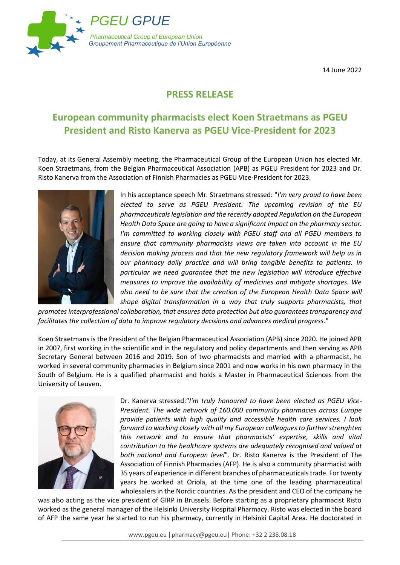

14 June 2022

## **PRESS RELEASE**

## **European community pharmacists elect Koen Straetmans as PGEU President and Risto Kanerva as PGEU Vice-President for 2023**

Today, at its General Assembly meeting, the Pharmaceutical Group of the European Union has elected Mr. Koen Straetmans, from the Belgian Pharmaceutical Association (APB) as PGEU President for 2023 and Dr. Risto Kanerva from the Association of Finnish Pharmacies as PGEU Vice-President for 2023.



In his acceptance speech Mr. Straetmans stressed: "*I'm very proud to have been elected to serve as PGEU President. The upcoming revision of the EU pharmaceuticals legislation and the recently adopted Regulation on the European Health Data Space are going to have a significant impact on the pharmacy sector. I'm committed to working closely with PGEU staff and all PGEU members to ensure that community pharmacists views are taken into account in the EU decision making process and that the new regulatory framework will help us in our pharmacy daily practice and will bring tangible benefits to patients. In particular we need guarantee that the new legislation will introduce effective measures to improve the availability of medicines and mitigate shortages. We*  also need to be sure that the creation of the European Health Data Space will *shape digital transformation in a way that truly supports pharmacists, that* 

*promotes interprofessional collaboration, that ensures data protection but also guarantees transparency and facilitates the collection of data to improve regulatory decisions and advances medical progress.*"

Koen Straetmans is the President of the Belgian Pharmaceutical Association (APB) since 2020. He joined APB in 2007, first working in the scientific and in the regulatory and policy departments and then serving as APB Secretary General between 2016 and 2019. Son of two pharmacists and married with a pharmacist, he worked in several community pharmacies in Belgium since 2001 and now works in his own pharmacy in the South of Belgium. He is a qualified pharmacist and holds a Master in Pharmaceutical Sciences from the University of Leuven.



Dr. Kanerva stressed:"*I'm truly honoured to have been elected as PGEU Vice-President. The wide network of 160.000 community pharmacies across Europe provide patients with high quality and accessible health care services. I look forward to working closely with all my European colleagues to further strenghten this network and to ensure that pharmacists' expertise, skills and vital contribution to the healthcare systems are adequately recognised and valued at both national and European level*". Dr. Risto Kanerva is the President of The Association of Finnish Pharmacies (AFP). He is also a community pharmacist with 35 years of experience in different branches of pharmaceuticals trade. For twenty years he worked at Oriola, at the time one of the leading pharmaceutical wholesalers in the Nordic countries. As the president and CEO of the company he

was also acting as the vice president of GIRP in Brussels. Before starting as a proprietary pharmacist Risto worked as the general manager of the Helsinki University Hospital Pharmacy. Risto was elected in the board of AFP the same year he started to run his pharmacy, currently in Helsinki Capital Area. He doctorated in